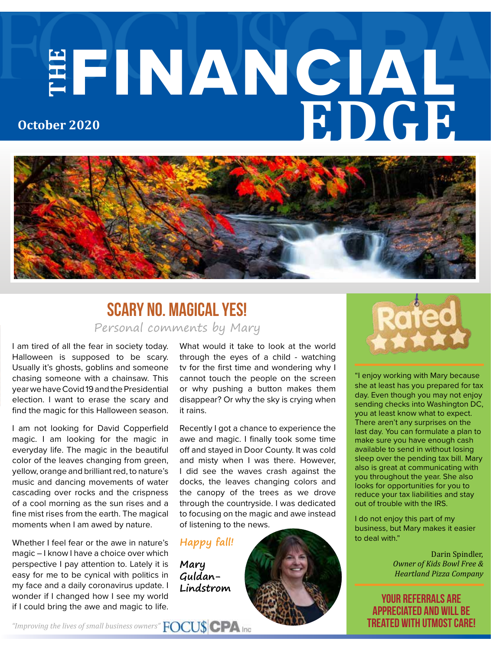# **THE** FINANCIAL **EDGE October 2020**



### Personal comments by Mary Scary No. Magical Yes!

I am tired of all the fear in society today. Halloween is supposed to be scary. Usually it's ghosts, goblins and someone chasing someone with a chainsaw. This year we have Covid 19 and the Presidential election. I want to erase the scary and find the magic for this Halloween season.

I am not looking for David Copperfield magic. I am looking for the magic in everyday life. The magic in the beautiful color of the leaves changing from green, yellow, orange and brilliant red, to nature's music and dancing movements of water cascading over rocks and the crispness of a cool morning as the sun rises and a fine mist rises from the earth. The magical moments when I am awed by nature.

Whether I feel fear or the awe in nature's magic – I know I have a choice over which perspective I pay attention to. Lately it is easy for me to be cynical with politics in my face and a daily coronavirus update. I wonder if I changed how I see my world if I could bring the awe and magic to life.

What would it take to look at the world through the eyes of a child - watching tv for the first time and wondering why I cannot touch the people on the screen or why pushing a button makes them disappear? Or why the sky is crying when it rains.

Recently I got a chance to experience the awe and magic. I finally took some time off and stayed in Door County. It was cold and misty when I was there. However, I did see the waves crash against the docks, the leaves changing colors and the canopy of the trees as we drove through the countryside. I was dedicated to focusing on the magic and awe instead of listening to the news.

#### **Happy fall!**

**Mary Guldan-Lindstrom**



"I enjoy working with Mary because she at least has you prepared for tax day. Even though you may not enjoy sending checks into Washington DC, you at least know what to expect. There aren't any surprises on the last day. You can formulate a plan to make sure you have enough cash available to send in without losing sleep over the pending tax bill. Mary also is great at communicating with you throughout the year. She also looks for opportunities for you to reduce your tax liabilities and stay out of trouble with the IRS.

I do not enjoy this part of my business, but Mary makes it easier to deal with."

> Darin Spindler, *Owner of Kids Bowl Free & Heartland Pizza Company*

your referrals are appreciated and will be treated with utmost care!

*"Improving the lives of small business owners"*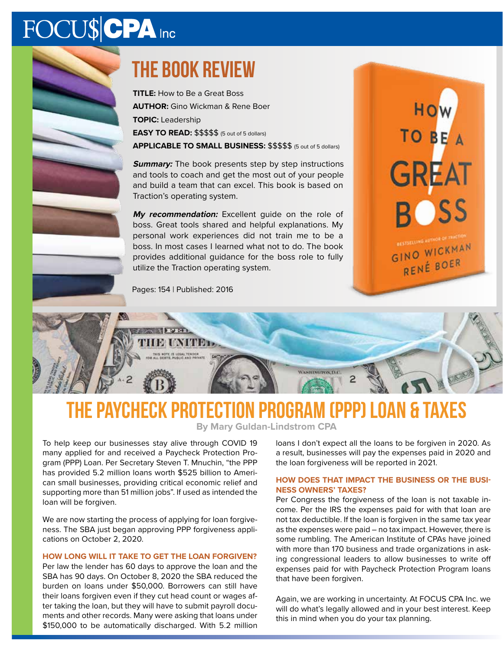# FOCU\$CPA Inc



**TITLE:** How to Be a Great Boss **AUTHOR:** Gino Wickman & Rene Boer **TOPIC:** Leadership **EASY TO READ:** \$\$\$\$\$ (5 out of 5 dollars)

**APPLICABLE TO SMALL BUSINESS:** \$\$\$\$\$ (5 out of 5 dollars)

**Summary:** The book presents step by step instructions and tools to coach and get the most out of your people and build a team that can excel. This book is based on Traction's operating system.

**My recommendation:** Excellent guide on the role of boss. Great tools shared and helpful explanations. My personal work experiences did not train me to be a boss. In most cases I learned what not to do. The book provides additional guidance for the boss role to fully utilize the Traction operating system.



Pages: 154 | Published: 2016

## The Paycheck Protection Program (PPP) Loan & Taxes

WANDSWINS D.C.

**By Mary Guldan-Lindstrom CPA**

To help keep our businesses stay alive through COVID 19 many applied for and received a Paycheck Protection Program (PPP) Loan. Per Secretary Steven T. Mnuchin, "the PPP has provided 5.2 million loans worth \$525 billion to American small businesses, providing critical economic relief and supporting more than 51 million jobs". If used as intended the loan will be forgiven.

We are now starting the process of applying for loan forgiveness. The SBA just began approving PPP forgiveness applications on October 2, 2020.

#### **HOW LONG WILL IT TAKE TO GET THE LOAN FORGIVEN?**

Per law the lender has 60 days to approve the loan and the SBA has 90 days. On October 8, 2020 the SBA reduced the burden on loans under \$50,000. Borrowers can still have their loans forgiven even if they cut head count or wages after taking the loan, but they will have to submit payroll documents and other records. Many were asking that loans under \$150,000 to be automatically discharged. With 5.2 million loans I don't expect all the loans to be forgiven in 2020. As a result, businesses will pay the expenses paid in 2020 and the loan forgiveness will be reported in 2021.

#### **HOW DOES THAT IMPACT THE BUSINESS OR THE BUSI-NESS OWNERS' TAXES?**

Per Congress the forgiveness of the loan is not taxable income. Per the IRS the expenses paid for with that loan are not tax deductible. If the loan is forgiven in the same tax year as the expenses were paid – no tax impact. However, there is some rumbling. The American Institute of CPAs have joined with more than 170 business and trade organizations in asking congressional leaders to allow businesses to write off expenses paid for with Paycheck Protection Program loans that have been forgiven.

Again, we are working in uncertainty. At FOCUS CPA Inc. we will do what's legally allowed and in your best interest. Keep this in mind when you do your tax planning.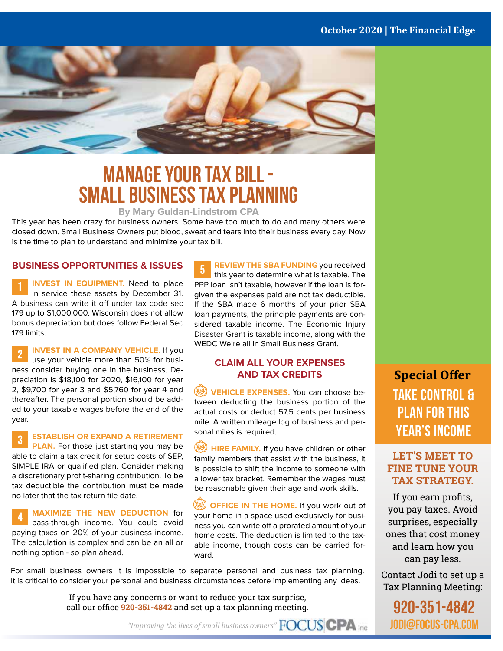#### **October 2020 | The Financial Edge**



### **Manage your tax bill - Small Business tax planning**

#### **By Mary Guldan-Lindstrom CPA**

This year has been crazy for business owners. Some have too much to do and many others were closed down. Small Business Owners put blood, sweat and tears into their business every day. Now is the time to plan to understand and minimize your tax bill.

#### **BUSINESS OPPORTUNITIES & ISSUES**

**INVEST IN EQUIPMENT.** Need to place in service these assets by December 31. A business can write it off under tax code sec 179 up to \$1,000,000. Wisconsin does not allow bonus depreciation but does follow Federal Sec 179 limits.

**INVEST IN A COMPANY VEHICLE.** If you use your vehicle more than 50% for business consider buying one in the business. Depreciation is \$18,100 for 2020, \$16,100 for year 2, \$9,700 for year 3 and \$5,760 for year 4 and thereafter. The personal portion should be added to your taxable wages before the end of the year.

**ESTABLISH OR EXPAND A RETIREMENT PLAN.** For those just starting you may be able to claim a tax credit for setup costs of SEP, SIMPLE IRA or qualified plan. Consider making a discretionary profit-sharing contribution. To be tax deductible the contribution must be made no later that the tax return file date.

**MAXIMIZE THE NEW DEDUCTION** for pass-through income. You could avoid paying taxes on 20% of your business income. The calculation is complex and can be an all or nothing option - so plan ahead.

**REVIEW THE SBA FUNDING** you received 5 this year to determine what is taxable. The PPP loan isn't taxable, however if the loan is forgiven the expenses paid are not tax deductible. If the SBA made 6 months of your prior SBA loan payments, the principle payments are considered taxable income. The Economic Injury Disaster Grant is taxable income, along with the WEDC We're all in Small Business Grant.

#### **CLAIM ALL YOUR EXPENSES AND TAX CREDITS**

**VEHICLE EXPENSES.** You can choose between deducting the business portion of the actual costs or deduct 57.5 cents per business mile. A written mileage log of business and personal miles is required.

**HIRE FAMILY.** If you have children or other family members that assist with the business, it is possible to shift the income to someone with a lower tax bracket. Remember the wages must be reasonable given their age and work skills.

**OFFICE IN THE HOME.** If you work out of your home in a space used exclusively for business you can write off a prorated amount of your home costs. The deduction is limited to the taxable income, though costs can be carried forward.

For small business owners it is impossible to separate personal and business tax planning. It is critical to consider your personal and business circumstances before implementing any ideas.

> If you have any concerns or want to reduce your tax surprise, call our office **920-351-4842** and set up a tax planning meeting.

**Special Offer Take control & Plan for this year's income**

#### **LET'S MEET TO FINE TUNE YOUR TAX STRATEGY.**

If you earn profits, you pay taxes. Avoid surprises, especially ones that cost money and learn how you can pay less.

Contact Jodi to set up a Tax Planning Meeting:

920-351-4842 jodi@focus-cpa.com

*"Improving the lives of small business owners"*